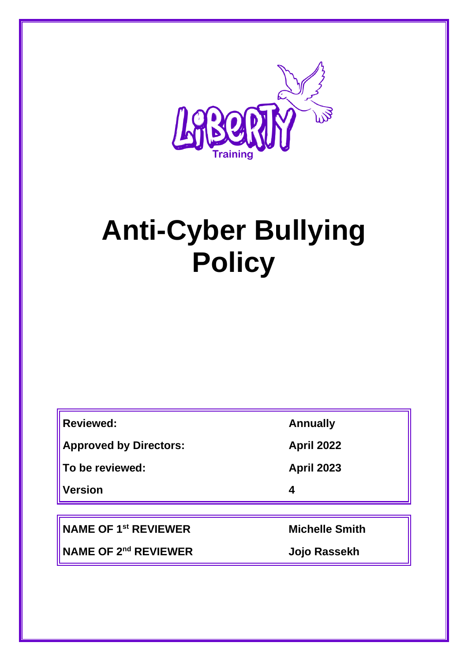

# **Anti-Cyber Bullying Policy**

| <b>Reviewed:</b>              | <b>Annually</b>   |
|-------------------------------|-------------------|
| <b>Approved by Directors:</b> | <b>April 2022</b> |
| ∥To be reviewed:              | <b>April 2023</b> |
| <b>Version</b>                | 4                 |
|                               |                   |

**NAME OF 1st REVIEWER Michelle Smith**

F

**NAME OF 2nd REVIEWER Jojo Rassekh**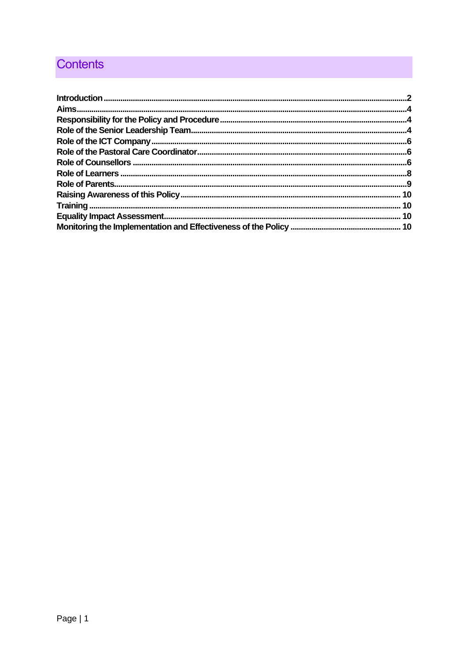## **Contents**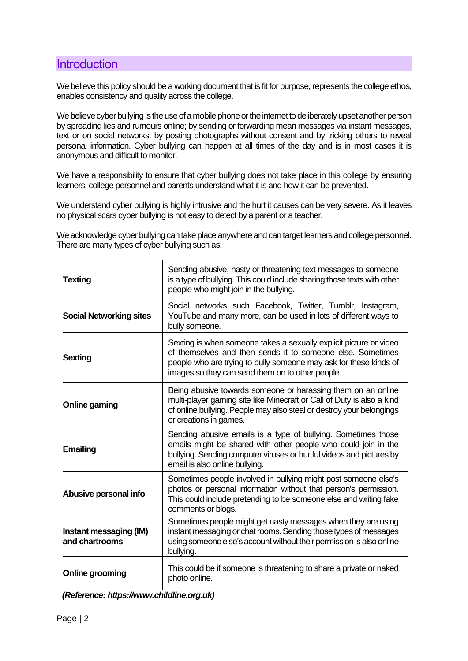## <span id="page-2-0"></span>**Introduction**

We believe this policy should be a working document that is fit for purpose, represents the college ethos, enables consistency and quality across the college.

We believe cyber bullying is the use of a mobile phone or the internet to deliberately upset another person by spreading lies and rumours online; by sending or forwarding mean messages via instant messages, text or on social networks; by posting photographs without consent and by tricking others to reveal personal information. Cyber bullying can happen at all times of the day and is in most cases it is anonymous and difficult to monitor.

We have a responsibility to ensure that cyber bullying does not take place in this college by ensuring learners, college personnel and parents understand what it is and how it can be prevented.

We understand cyber bullying is highly intrusive and the hurt it causes can be very severe. As it leaves no physical scars cyber bullying is not easy to detect by a parent or a teacher.

We acknowledge cyber bullying can take place anywhere and can target learners and college personnel. There are many types of cyber bullying such as:

| <b>Texting</b>                           | Sending abusive, nasty or threatening text messages to someone<br>is a type of bullying. This could include sharing those texts with other<br>people who might join in the bullying.                                                                      |
|------------------------------------------|-----------------------------------------------------------------------------------------------------------------------------------------------------------------------------------------------------------------------------------------------------------|
| <b>Social Networking sites</b>           | Social networks such Facebook, Twitter, Tumblr, Instagram,<br>YouTube and many more, can be used in lots of different ways to<br>bully someone.                                                                                                           |
| <b>Sexting</b>                           | Sexting is when someone takes a sexually explicit picture or video<br>of themselves and then sends it to someone else. Sometimes<br>people who are trying to bully someone may ask for these kinds of<br>images so they can send them on to other people. |
| Online gaming                            | Being abusive towards someone or harassing them on an online<br>multi-player gaming site like Minecraft or Call of Duty is also a kind<br>of online bullying. People may also steal or destroy your belongings<br>or creations in games.                  |
| Emailing                                 | Sending abusive emails is a type of bullying. Sometimes those<br>emails might be shared with other people who could join in the<br>bullying. Sending computer viruses or hurtful videos and pictures by<br>email is also online bullying.                 |
| Abusive personal info                    | Sometimes people involved in bullying might post someone else's<br>photos or personal information without that person's permission.<br>This could include pretending to be someone else and writing fake<br>comments or blogs.                            |
| Instant messaging (IM)<br>and chartrooms | Sometimes people might get nasty messages when they are using<br>instant messaging or chat rooms. Sending those types of messages<br>using someone else's account without their permission is also online<br>bullying.                                    |
| Online grooming                          | This could be if someone is threatening to share a private or naked<br>photo online.                                                                                                                                                                      |

| (Reference: https://www.childline.org.uk) |  |
|-------------------------------------------|--|
|-------------------------------------------|--|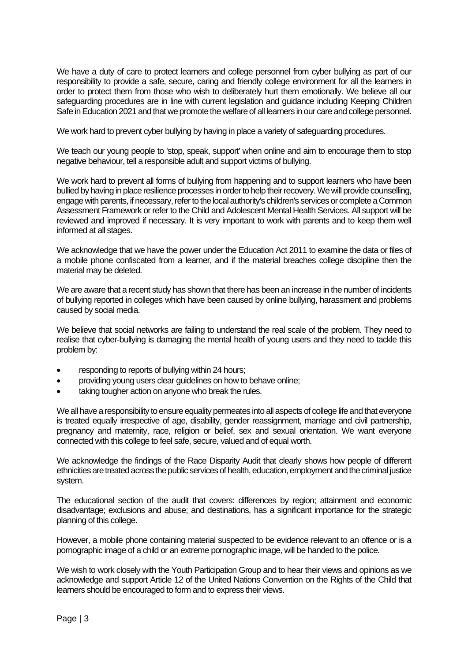We have a duty of care to protect learners and college personnel from cyber bullying as part of our responsibility to provide a safe, secure, caring and friendly college environment for all the learners in order to protect them from those who wish to deliberately hurt them emotionally. We believe all our safeguarding procedures are in line with current legislation and guidance including Keeping Children Safe in Education 2021 and that we promote the welfare of all learners in our care and college personnel.

We work hard to prevent cyber bullying by having in place a variety of safeguarding procedures.

We teach our young people to 'stop, speak, support' when online and aim to encourage them to stop negative behaviour, tell a responsible adult and support victims of bullying.

We work hard to prevent all forms of bullying from happening and to support learners who have been bullied by having in place resilience processes in order to help their recovery. We will provide counselling, engage with parents, if necessary, refer to the local authority's children's services or complete a Common Assessment Framework or refer to the Child and Adolescent Mental Health Services. All support will be reviewed and improved if necessary. It is very important to work with parents and to keep them well informed at all stages.

We acknowledge that we have the power under the Education Act 2011 to examine the data or files of a mobile phone confiscated from a learner, and if the material breaches college discipline then the material may be deleted.

We are aware that a recent study has shown that there has been an increase in the number of incidents of bullying reported in colleges which have been caused by online bullying, harassment and problems caused by social media.

We believe that social networks are failing to understand the real scale of the problem. They need to realise that cyber-bullying is damaging the mental health of young users and they need to tackle this problem by:

- responding to reports of bullying within 24 hours;
- providing young users clear guidelines on how to behave online;
- taking tougher action on anyone who break the rules.

We all have a responsibility to ensure equality permeates into all aspects of college life and that everyone is treated equally irrespective of age, disability, gender reassignment, marriage and civil partnership, pregnancy and maternity, race, religion or belief, sex and sexual orientation. We want everyone connected with this college to feel safe, secure, valued and of equal worth.

We acknowledge the findings of the Race Disparity Audit that clearly shows how people of different ethnicities are treated across the public services of health, education, employment and the criminal justice system.

The educational section of the audit that covers: differences by region; attainment and economic disadvantage; exclusions and abuse; and destinations, has a significant importance for the strategic planning of this college.

However, a mobile phone containing material suspected to be evidence relevant to an offence or is a pornographic image of a child or an extreme pornographic image, will be handed to the police.

We wish to work closely with the Youth Participation Group and to hear their views and opinions as we acknowledge and support Article 12 of the United Nations Convention on the Rights of the Child that learners should be encouraged to form and to express their views.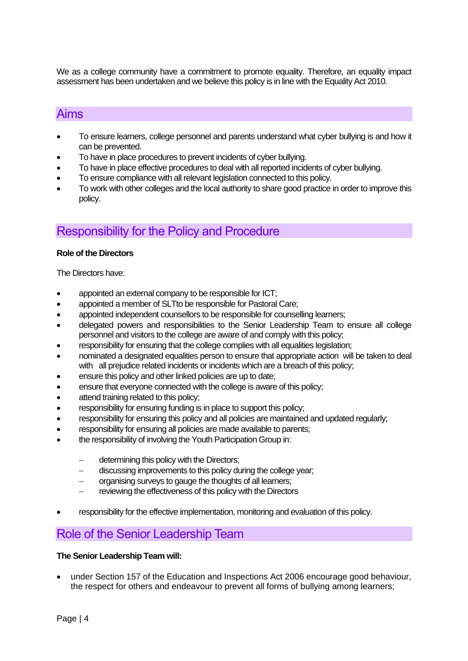We as a college community have a commitment to promote equality. Therefore, an equality impact assessment has been undertaken and we believe this policy is in line with the Equality Act 2010.

#### <span id="page-4-0"></span>Aims

- To ensure learners, college personnel and parents understand what cyber bullying is and how it can be prevented.
- To have in place procedures to prevent incidents of cyber bullying.
- To have in place effective procedures to deal with all reported incidents of cyber bullying.
- To ensure compliance with all relevant legislation connected to this policy.
- To work with other colleges and the local authority to share good practice in order to improve this policy.

## <span id="page-4-1"></span>Responsibility for the Policy and Procedure

#### **Role of the Directors**

The Directors have:

- appointed an external company to be responsible for ICT;
- appointed a member of SLTto be responsible for Pastoral Care;
- appointed independent counsellors to be responsible for counselling learners;
- delegated powers and responsibilities to the Senior Leadership Team to ensure all college personnel and visitors to the college are aware of and comply with this policy;
- responsibility for ensuring that the college complies with all equalities legislation;
- nominated a designated equalities person to ensure that appropriate action will be taken to deal with all prejudice related incidents or incidents which are a breach of this policy;
- ensure this policy and other linked policies are up to date;
- ensure that everyone connected with the college is aware of this policy;
- attend training related to this policy;
- responsibility for ensuring funding is in place to support this policy;
- responsibility for ensuring this policy and all policies are maintained and updated regularly;
- responsibility for ensuring all policies are made available to parents;
- the responsibility of involving the Youth Participation Group in:
	- − determining this policy with the Directors;
	- − discussing improvements to this policy during the college year;
	- − organising surveys to gauge the thoughts of all learners;
	- reviewing the effectiveness of this policy with the Directors
- responsibility for the effective implementation, monitoring and evaluation of this policy.

## <span id="page-4-2"></span>Role of the Senior Leadership Team

#### **The Senior Leadership Team will:**

• under Section 157 of the Education and Inspections Act 2006 encourage good behaviour, the respect for others and endeavour to prevent all forms of bullying among learners;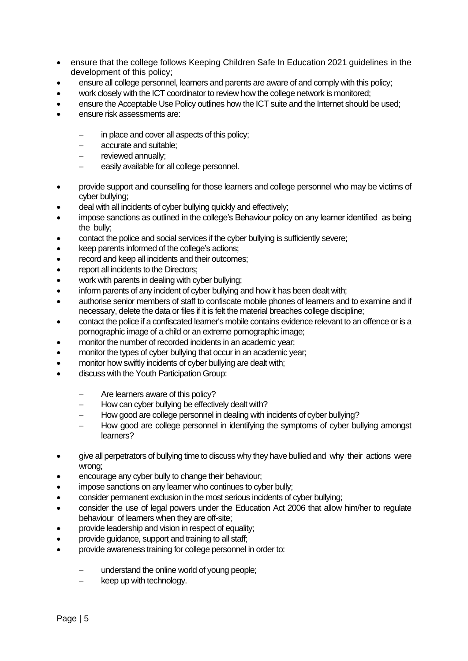- ensure that the college follows Keeping Children Safe In Education 2021 guidelines in the development of this policy;
- ensure all college personnel, learners and parents are aware of and comply with this policy;
- work closely with the ICT coordinator to review how the college network is monitored;
- ensure the Acceptable Use Policy outlines how the ICT suite and the Internet should be used;
- ensure risk assessments are:
	- in place and cover all aspects of this policy;
	- − accurate and suitable;
	- reviewed annually;
	- easily available for all college personnel.
- provide support and counselling for those learners and college personnel who may be victims of cyber bullying;
- deal with all incidents of cyber bullying quickly and effectively;
- impose sanctions as outlined in the college's Behaviour policy on any learner identified as being the bully;
- contact the police and social services if the cyber bullying is sufficiently severe;
- keep parents informed of the college's actions:
- record and keep all incidents and their outcomes;
- report all incidents to the Directors;
- work with parents in dealing with cyber bullying;
- inform parents of any incident of cyber bullying and how it has been dealt with;
- authorise senior members of staff to confiscate mobile phones of learners and to examine and if necessary, delete the data or files if it is felt the material breaches college discipline;
- contact the police if a confiscated learner's mobile contains evidence relevant to an offence or is a pornographic image of a child or an extreme pornographic image;
- monitor the number of recorded incidents in an academic year;
- monitor the types of cyber bullying that occur in an academic year;
- monitor how swiftly incidents of cyber bullying are dealt with;
- discuss with the Youth Participation Group:
	- Are learners aware of this policy?
	- How can cyber bullying be effectively dealt with?
	- − How good are college personnel in dealing with incidents of cyber bullying?
	- How good are college personnel in identifying the symptoms of cyber bullying amongst learners?
- give all perpetrators of bullying time to discuss why they have bullied and why their actions were wrong;
- encourage any cyber bully to change their behaviour;
- impose sanctions on any learner who continues to cyber bully:
- consider permanent exclusion in the most serious incidents of cyber bullying;
- consider the use of legal powers under the Education Act 2006 that allow him/her to regulate behaviour of learners when they are off-site;
- provide leadership and vision in respect of equality;
- provide guidance, support and training to all staff;
- provide awareness training for college personnel in order to:
	- understand the online world of young people;
	- keep up with technology.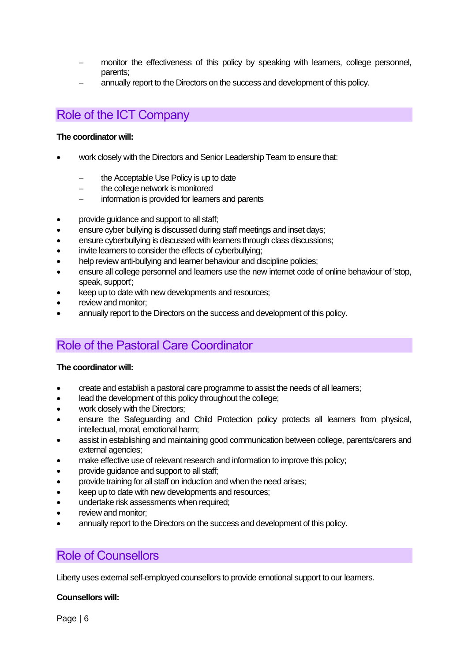- monitor the effectiveness of this policy by speaking with learners, college personnel, parents;
- annually report to the Directors on the success and development of this policy.

## <span id="page-6-0"></span>Role of the ICT Company

#### **The coordinator will:**

- work closely with the Directors and Senior Leadership Team to ensure that:
	- the Acceptable Use Policy is up to date
	- − the college network is monitored
	- information is provided for learners and parents
- provide guidance and support to all staff;
- ensure cyber bullying is discussed during staff meetings and inset days;
- ensure cyberbullying is discussed with learners through class discussions;
- invite learners to consider the effects of cyberbullying;
- help review anti-bullying and learner behaviour and discipline policies;
- ensure all college personnel and learners use the new internet code of online behaviour of 'stop, speak, support';
- keep up to date with new developments and resources;
- review and monitor;
- annually report to the Directors on the success and development of this policy.

## <span id="page-6-1"></span>Role of the Pastoral Care Coordinator

#### **The coordinator will:**

- create and establish a pastoral care programme to assist the needs of all learners;
- lead the development of this policy throughout the college;
- work closely with the Directors:
- ensure the Safeguarding and Child Protection policy protects all learners from physical, intellectual, moral, emotional harm;
- assist in establishing and maintaining good communication between college, parents/carers and external agencies;
- make effective use of relevant research and information to improve this policy;
- provide guidance and support to all staff;
- provide training for all staff on induction and when the need arises;
- keep up to date with new developments and resources;
- undertake risk assessments when required;
- review and monitor:
- annually report to the Directors on the success and development of this policy.

#### <span id="page-6-2"></span>Role of Counsellors

Liberty uses external self-employed counsellors to provide emotional support to our learners.

#### **Counsellors will:**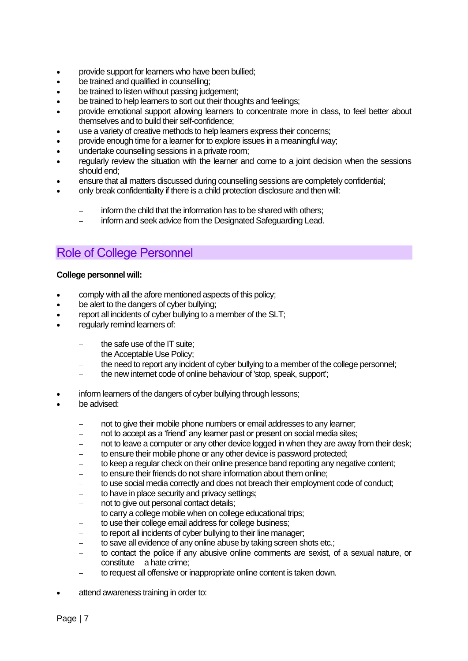- provide support for learners who have been bullied;
- be trained and qualified in counselling;
- be trained to listen without passing judgement:
- be trained to help learners to sort out their thoughts and feelings:
- provide emotional support allowing learners to concentrate more in class, to feel better about themselves and to build their self-confidence;
- use a variety of creative methods to help learners express their concerns;
- provide enough time for a learner for to explore issues in a meaningful way;
- undertake counselling sessions in a private room;
- regularly review the situation with the learner and come to a joint decision when the sessions should end;
- ensure that all matters discussed during counselling sessions are completely confidential;
- only break confidentiality if there is a child protection disclosure and then will:
	- inform the child that the information has to be shared with others;
	- − inform and seek advice from the Designated Safeguarding Lead.

## Role of College Personnel

#### **College personnel will:**

- comply with all the afore mentioned aspects of this policy;
- be alert to the dangers of cyber bullying;
- report all incidents of cyber bullying to a member of the SLT:
- regularly remind learners of:
	- the safe use of the IT suite:
	- the Acceptable Use Policy;
	- the need to report any incident of cyber bullying to a member of the college personnel;
	- − the new internet code of online behaviour of 'stop, speak, support';
- inform learners of the dangers of cyber bullying through lessons:
- be advised:
	- not to give their mobile phone numbers or email addresses to any learner;
	- not to accept as a 'friend' any learner past or present on social media sites;
	- not to leave a computer or any other device logged in when they are away from their desk;
	- to ensure their mobile phone or any other device is password protected;
	- to keep a regular check on their online presence band reporting any negative content;
	- to ensure their friends do not share information about them online:
	- to use social media correctly and does not breach their employment code of conduct;
	- to have in place security and privacy settings;
	- not to give out personal contact details;
	- to carry a college mobile when on college educational trips;
	- to use their college email address for college business;
	- to report all incidents of cyber bullying to their line manager;
	- to save all evidence of any online abuse by taking screen shots etc.;
	- − to contact the police if any abusive online comments are sexist, of a sexual nature, or constitute a hate crime;
	- to request all offensive or inappropriate online content is taken down.
- attend awareness training in order to: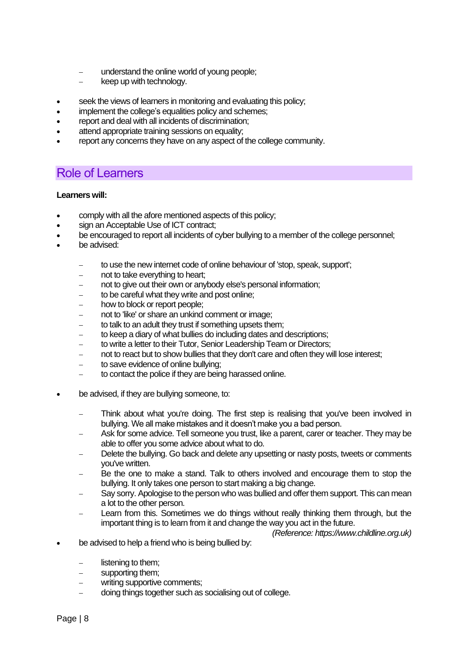- understand the online world of young people;
- − keep up with technology.
- seek the views of learners in monitoring and evaluating this policy:
- implement the college's equalities policy and schemes;
- report and deal with all incidents of discrimination;
- attend appropriate training sessions on equality;
- report any concerns they have on any aspect of the college community.

## <span id="page-8-0"></span>Role of Learners

#### **Learners will:**

- comply with all the afore mentioned aspects of this policy;
- sign an Acceptable Use of ICT contract;
- be encouraged to report all incidents of cyber bullying to a member of the college personnel;
- be advised:
	- − to use the new internet code of online behaviour of 'stop, speak, support';
	- not to take everything to heart;
	- not to give out their own or anybody else's personal information;
	- to be careful what they write and post online;
	- how to block or report people;
	- not to 'like' or share an unkind comment or image;
	- to talk to an adult they trust if something upsets them;
	- to keep a diary of what bullies do including dates and descriptions;
	- to write a letter to their Tutor, Senior Leadership Team or Directors;
	- not to react but to show bullies that they don't care and often they will lose interest;
	- − to save evidence of online bullying;
	- to contact the police if they are being harassed online.
- be advised, if they are bullying someone, to:
	- Think about what you're doing. The first step is realising that you've been involved in bullying. We all make mistakes and it doesn't make you a bad person.
	- − Ask for some advice. Tel[l someone you trust, li](https://www.childline.org.uk/info-advice/you-your-body/getting-help/asking-adult-help/)ke a parent, carer or teacher. They may be able to offer you some advice about what to do.
	- Delete the bullying. Go back and delete any upsetting or nasty posts, tweets or comments you've written.
	- − Be the one to make a stand. Talk to others involved and encourage them to stop the bullying. It only takes one person to start making a big change.
	- Say sorry. Apologise to the person who was bullied and offer them support. This can mean a lot to the other person.
	- Learn from this. Sometimes we do things without really thinking them through, but the important thing is to learn from it and change the way you act in the future.

*(Reference: https://www.childline.org.uk)*

- be advised to help a friend who is being bullied by:
	- listening to them;
	- supporting them:
	- − writing supportive comments;
	- − doing things together such as socialising out of college.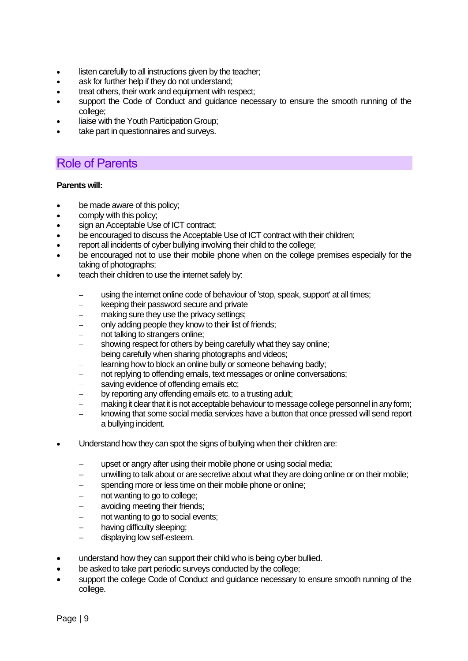- listen carefully to all instructions given by the teacher;
- ask for further help if they do not understand;
- treat others, their work and equipment with respect:
- support the Code of Conduct and guidance necessary to ensure the smooth running of the college;
- liaise with the Youth Participation Group;
- take part in questionnaires and surveys.

## <span id="page-9-0"></span>Role of Parents

#### **Parents will:**

- be made aware of this policy;
- comply with this policy;
- sign an Acceptable Use of ICT contract;
- be encouraged to discuss the Acceptable Use of ICT contract with their children;
- report all incidents of cyber bullying involving their child to the college;
- be encouraged not to use their mobile phone when on the college premises especially for the taking of photographs;
- teach their children to use the internet safely by:
	- using the internet online code of behaviour of 'stop, speak, support' at all times;
	- − keeping their password secure and private
	- making sure they use the privacy settings:
	- only adding people they know to their list of friends;
	- not talking to strangers online;
	- showing respect for others by being carefully what they say online;
	- being carefully when sharing photographs and videos;
	- − learning how to block an online bully or someone behaving badly;
	- not replying to offending emails, text messages or online conversations;
	- saving evidence of offending emails etc:
	- by reporting any offending emails etc. to a trusting adult:
	- making it clear that it is not acceptable behaviour to message college personnel in any form;
	- knowing that some social media services have a button that once pressed will send report a bullying incident.
- Understand how they can spot the signs of bullying when their children are:
	- upset or angry after using their mobile phone or using social media;
	- unwilling to talk about or are secretive about what they are doing online or on their mobile;
	- spending more or less time on their mobile phone or online;
	- not wanting to go to college;
	- − avoiding meeting their friends;
	- not wanting to go to social events;
	- having difficulty sleeping;
	- − displaying low self-esteem.
- understand how they can support their child who is being cyber bullied.
- be asked to take part periodic surveys conducted by the college;
- support the college Code of Conduct and guidance necessary to ensure smooth running of the college.